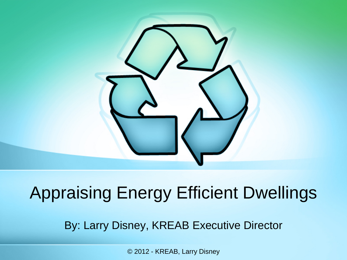

# Appraising Energy Efficient Dwellings

By: Larry Disney, KREAB Executive Director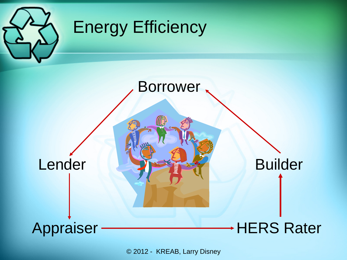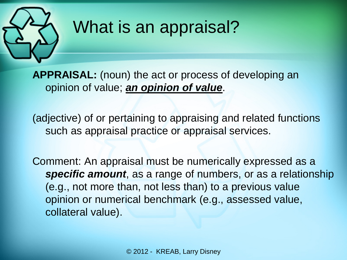

## What is an appraisal?

**APPRAISAL:** (noun) the act or process of developing an opinion of value; *an opinion of value*.

(adjective) of or pertaining to appraising and related functions such as appraisal practice or appraisal services.

Comment: An appraisal must be numerically expressed as a *specific amount*, as a range of numbers, or as a relationship (e.g., not more than, not less than) to a previous value opinion or numerical benchmark (e.g., assessed value, collateral value).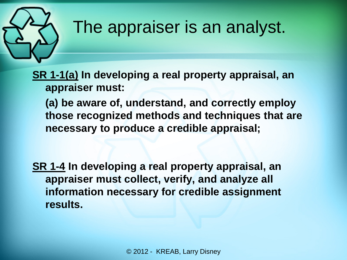

#### The appraiser is an analyst.

**SR 1-1(a) In developing a real property appraisal, an appraiser must:**

**(a) be aware of, understand, and correctly employ those recognized methods and techniques that are necessary to produce a credible appraisal;**

**SR 1-4 In developing a real property appraisal, an appraiser must collect, verify, and analyze all information necessary for credible assignment results.**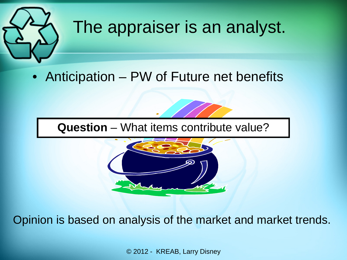

#### The appraiser is an analyst.

• Anticipation – PW of Future net benefits

**Question** – What items contribute value?



Opinion is based on analysis of the market and market trends.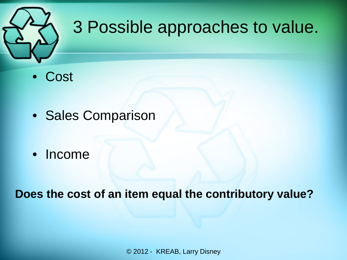

# 3 Possible approaches to value.

- Cost
- Sales Comparison
- Income

**Does the cost of an item equal the contributory value?**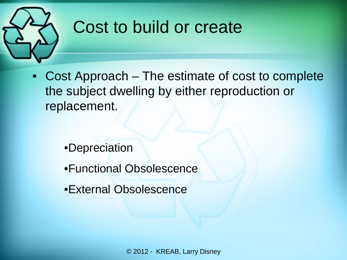

## Cost to build or create

• Cost Approach – The estimate of cost to complete the subject dwelling by either reproduction or replacement.

- •Depreciation
- •Functional Obsolescence
- •External Obsolescence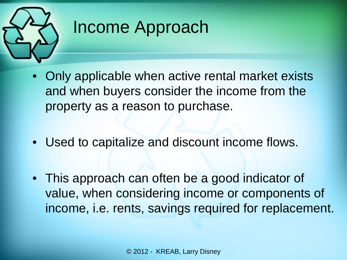

# Income Approach

- Only applicable when active rental market exists and when buyers consider the income from the property as a reason to purchase.
- Used to capitalize and discount income flows.
- This approach can often be a good indicator of value, when considering income or components of income, i.e. rents, savings required for replacement.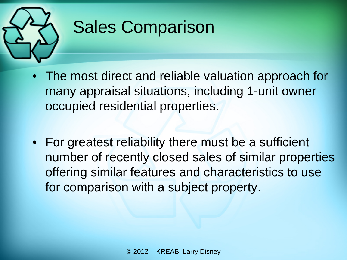

# Sales Comparison

- The most direct and reliable valuation approach for many appraisal situations, including 1-unit owner occupied residential properties.
- For greatest reliability there must be a sufficient number of recently closed sales of similar properties offering similar features and characteristics to use for comparison with a subject property.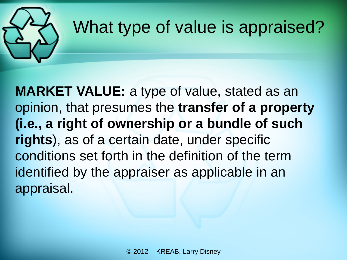

## What type of value is appraised?

**MARKET VALUE:** a type of value, stated as an opinion, that presumes the **transfer of a property (i.e., a right of ownership or a bundle of such rights**), as of a certain date, under specific conditions set forth in the definition of the term identified by the appraiser as applicable in an appraisal.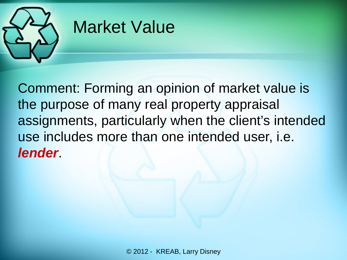

#### Market Value

Comment: Forming an opinion of market value is the purpose of many real property appraisal assignments, particularly when the client's intended use includes more than one intended user, i.e. *lender*.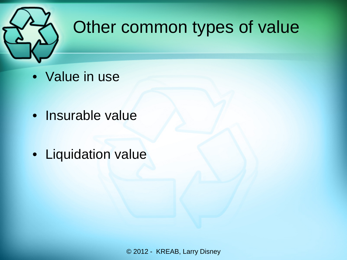

## Other common types of value

- Value in use
- Insurable value
- Liquidation value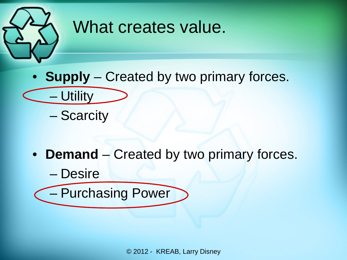

#### What creates value.

- **Supply** Created by two primary forces.
	- Scarcity

– Utility

- **Demand** Created by two primary forces.
	- Desire – Purchasing Power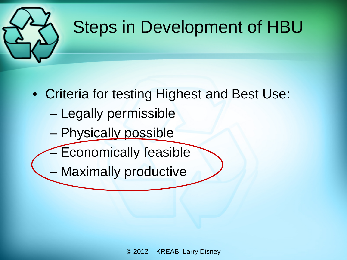

## Steps in Development of HBU

- Criteria for testing Highest and Best Use:
	- Legally permissible
	- Physically possible
	- Economically feasible
	- Maximally productive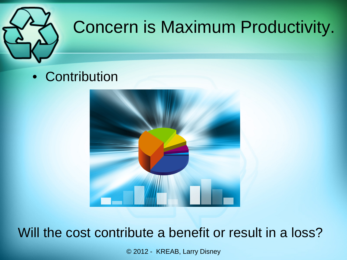

# Concern is Maximum Productivity.

• Contribution



Will the cost contribute a benefit or result in a loss?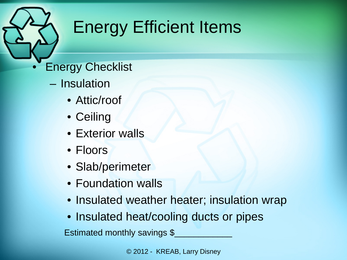- **Energy Checklist** 
	- Insulation
		- Attic/roof
		- Ceiling
		- Exterior walls
		- Floors
		- Slab/perimeter
		- Foundation walls
		- Insulated weather heater; insulation wrap
		- Insulated heat/cooling ducts or pipes

Estimated monthly savings \$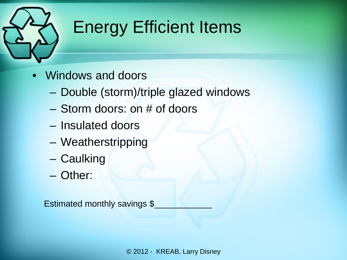

- Windows and doors
	- Double (storm)/triple glazed windows
	- Storm doors: on # of doors
	- Insulated doors
	- Weatherstripping
	- Caulking
	- Other:

Estimated monthly savings \$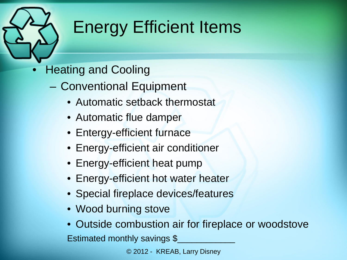- Heating and Cooling
	- Conventional Equipment
		- Automatic setback thermostat
		- Automatic flue damper
		- Entergy-efficient furnace
		- Energy-efficient air conditioner
		- Energy-efficient heat pump
		- Energy-efficient hot water heater
		- Special fireplace devices/features
		- Wood burning stove
		- Outside combustion air for fireplace or woodstove Estimated monthly savings \$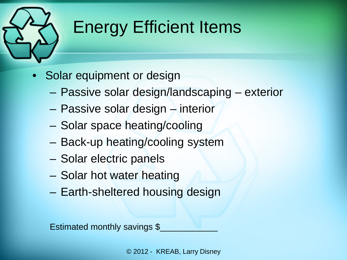- Solar equipment or design
	- Passive solar design/landscaping exterior
	- Passive solar design interior
	- Solar space heating/cooling
	- Back-up heating/cooling system
	- Solar electric panels
	- Solar hot water heating
	- Earth-sheltered housing design

Estimated monthly savings \$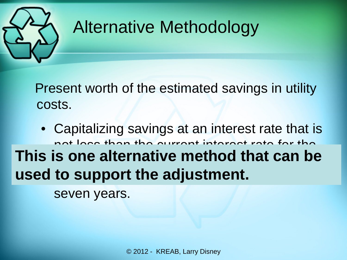

## Alternative Methodology

 Present worth of the estimated savings in utility costs.

• Capitalizing savings at an interest rate that is not loss than the current interest rate for the This is one alternative method that can be used to support the adjustment.

seven years.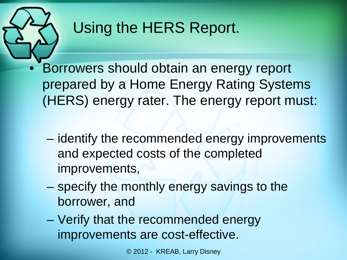

#### Using the HERS Report.

- Borrowers should obtain an energy report prepared by a Home Energy Rating Systems (HERS) energy rater. The energy report must:
	- identify the recommended energy improvements and expected costs of the completed improvements,
	- specify the monthly energy savings to the borrower, and
	- Verify that the recommended energy improvements are cost-effective.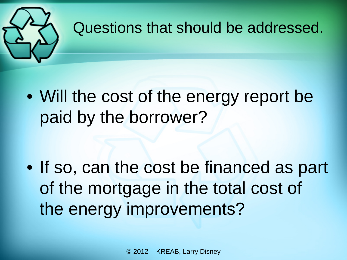

#### Questions that should be addressed.

• Will the cost of the energy report be paid by the borrower?

• If so, can the cost be financed as part of the mortgage in the total cost of the energy improvements?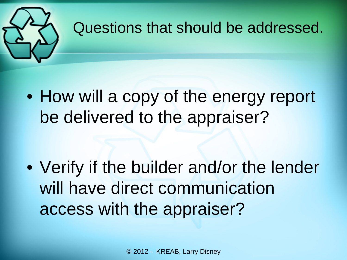

#### Questions that should be addressed.

• How will a copy of the energy report be delivered to the appraiser?

• Verify if the builder and/or the lender will have direct communication access with the appraiser?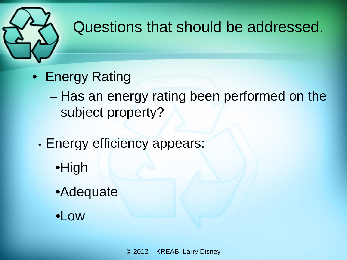

#### Questions that should be addressed.

- Energy Rating
	- Has an energy rating been performed on the subject property?
	- Energy efficiency appears:
		- •High
		- •Adequate
		- •Low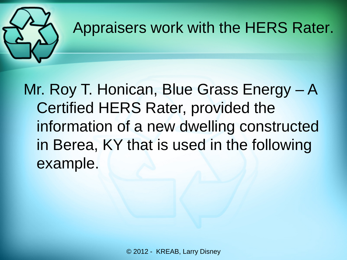#### Appraisers work with the HERS Rater.

Mr. Roy T. Honican, Blue Grass Energy – A Certified HERS Rater, provided the information of a new dwelling constructed in Berea, KY that is used in the following example.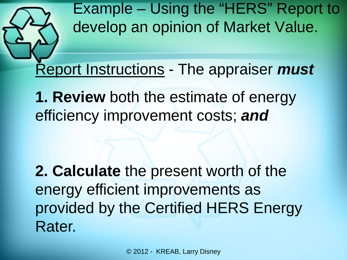

Report Instructions - The appraiser *must* 

**1. Review** both the estimate of energy efficiency improvement costs; *and*

**2. Calculate** the present worth of the energy efficient improvements as provided by the Certified HERS Energy Rater.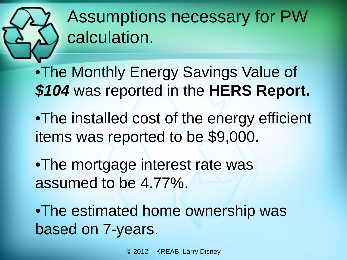# Assumptions necessary for PW calculation.

•The Monthly Energy Savings Value of *\$104* was reported in the **HERS Report.**

- •The installed cost of the energy efficient items was reported to be \$9,000.
- •The mortgage interest rate was assumed to be 4.77%.

•The estimated home ownership was based on 7-years.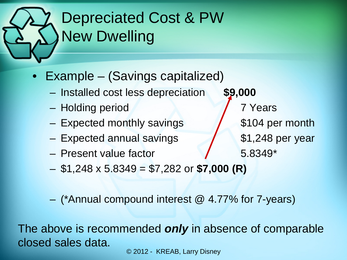# Depreciated Cost & PW New Dwelling

- Example (Savings capitalized)
	- Installed cost less depreciation **\$9,000**
	- Holding period 7 Years
	- Expected monthly savings 104 per month
	- Expected annual savings 1,248 per year
	- Present value factor 5.8349\*
	- \$1,248 x 5.8349 = \$7,282 or **\$7,000 (R)**

– (\*Annual compound interest @ 4.77% for 7-years)

The above is recommended *only* in absence of comparable closed sales data.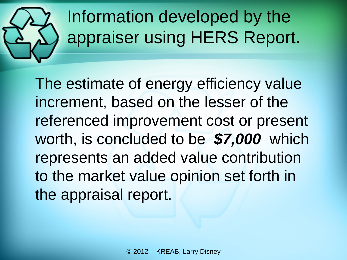

# Information developed by the appraiser using HERS Report.

The estimate of energy efficiency value increment, based on the lesser of the referenced improvement cost or present worth, is concluded to be *\$7,000* which represents an added value contribution to the market value opinion set forth in the appraisal report.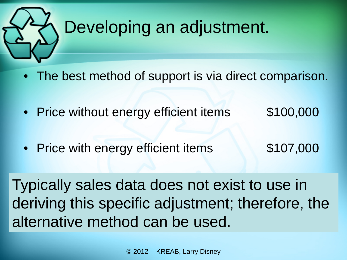

# Developing an adjustment.

- The best method of support is via direct comparison.
- Price without energy efficient items \$100,000
- Price with energy efficient items \$107,000
	-

Typically sales data does not exist to use in deriving this specific adjustment; therefore, the alternative method can be used.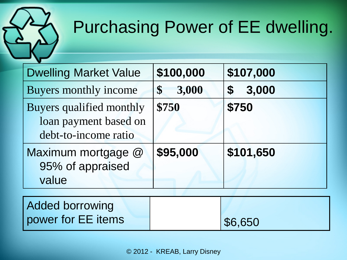# Purchasing Power of EE dwelling.

| <b>Dwelling Market Value</b>                                              | \$100,000   | \$107,000                          |
|---------------------------------------------------------------------------|-------------|------------------------------------|
| Buyers monthly income                                                     | 3,000<br>\$ | 3,000<br>$\boldsymbol{\mathsf{S}}$ |
| Buyers qualified monthly<br>loan payment based on<br>debt-to-income ratio | \$750       | \$750                              |
| Maximum mortgage @<br>95% of appraised<br>value                           | \$95,000    | \$101,650                          |
| <b>Added borrowing</b><br>power for EE items                              |             | \$6,650                            |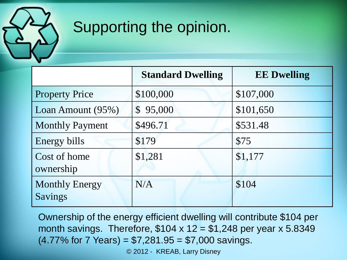

#### Supporting the opinion.

|                                  | <b>Standard Dwelling</b> | <b>EE Dwelling</b> |
|----------------------------------|--------------------------|--------------------|
| <b>Property Price</b>            | \$100,000                | \$107,000          |
| Loan Amount (95%)                | \$95,000                 | \$101,650          |
| <b>Monthly Payment</b>           | \$496.71                 | \$531.48           |
| Energy bills                     | \$179                    | \$75               |
| Cost of home<br>ownership        | \$1,281                  | \$1,177            |
| <b>Monthly Energy</b><br>Savings | N/A                      | \$104              |

Ownership of the energy efficient dwelling will contribute \$104 per month savings. Therefore,  $$104 \times 12 = $1,248$  per year x 5.8349  $(4.77\%$  for 7 Years) = \$7,281.95 = \$7,000 savings.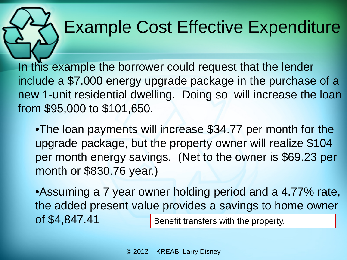# Example Cost Effective Expenditure

In this example the borrower could request that the lender include a \$7,000 energy upgrade package in the purchase of a new 1-unit residential dwelling. Doing so will increase the loan from \$95,000 to \$101,650.

•The loan payments will increase \$34.77 per month for the upgrade package, but the property owner will realize \$104 per month energy savings. (Net to the owner is \$69.23 per month or \$830.76 year.)

•Assuming a 7 year owner holding period and a 4.77% rate, the added present value provides a savings to home owner of \$4,847.41 Benefit transfers with the property.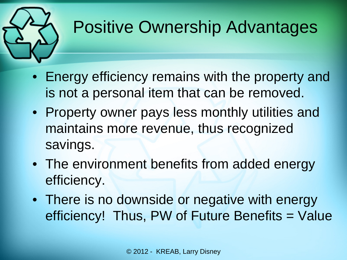

# Positive Ownership Advantages

- Energy efficiency remains with the property and is not a personal item that can be removed.
- Property owner pays less monthly utilities and maintains more revenue, thus recognized savings.
- The environment benefits from added energy efficiency.
- There is no downside or negative with energy efficiency! Thus, PW of Future Benefits = Value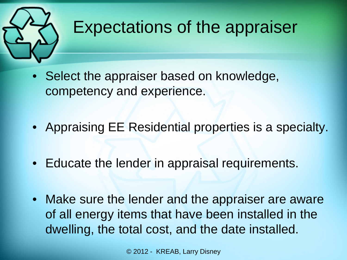

#### Expectations of the appraiser

- Select the appraiser based on knowledge, competency and experience.
- Appraising EE Residential properties is a specialty.
- Educate the lender in appraisal requirements.
- Make sure the lender and the appraiser are aware of all energy items that have been installed in the dwelling, the total cost, and the date installed.